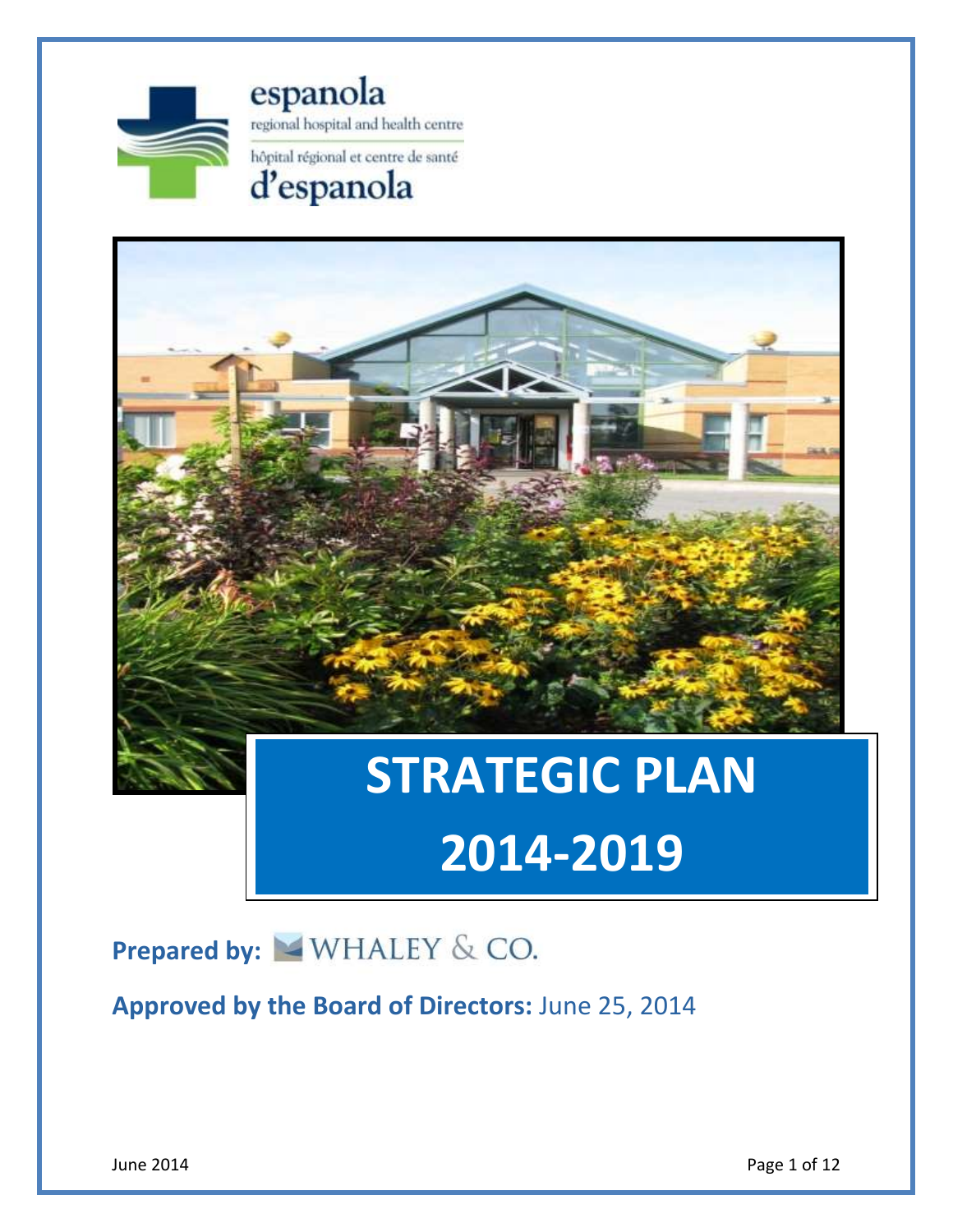

espanola regional hospital and health centre hôpital régional et centre de santé

# d'espanola



# **2014-2019**

# **Prepared by: WHALEY & CO.**

**Approved by the Board of Directors:** June 25, 2014

June 2014 **Page 1 of 12**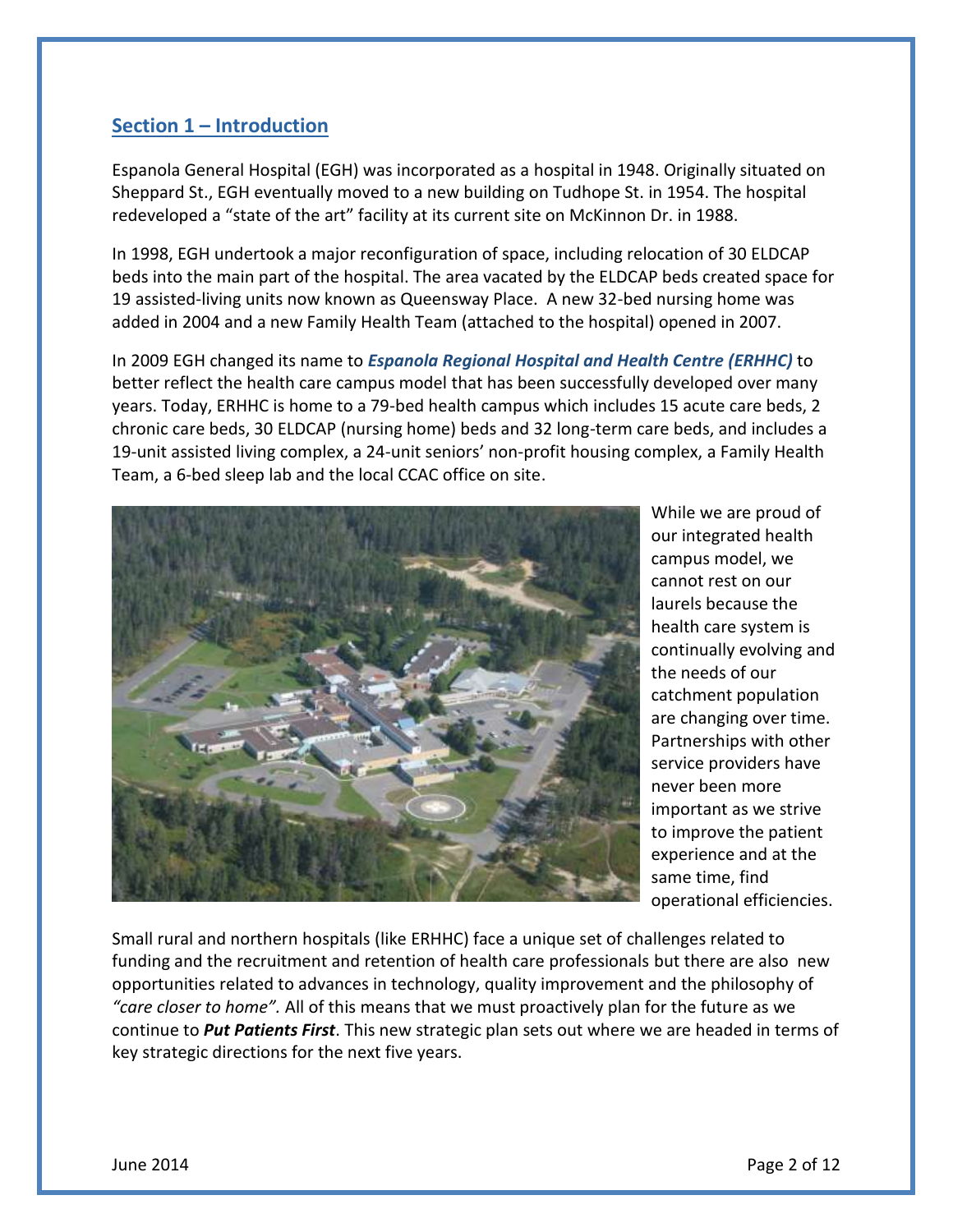## **Section 1 – Introduction**

Espanola General Hospital (EGH) was incorporated as a hospital in 1948. Originally situated on Sheppard St., EGH eventually moved to a new building on Tudhope St. in 1954. The hospital redeveloped a "state of the art" facility at its current site on McKinnon Dr. in 1988.

 In 1998, EGH undertook a major reconfiguration of space, including relocation of 30 ELDCAP beds into the main part of the hospital. The area vacated by the ELDCAP beds created space for 19 assisted-living units now known as Queensway Place. A new 32-bed nursing home was added in 2004 and a new Family Health Team (attached to the hospital) opened in 2007.

 In 2009 EGH changed its name to *Espanola Regional Hospital and Health Centre (ERHHC)* to better reflect the health care campus model that has been successfully developed over many years. Today, ERHHC is home to a 79-bed health campus which includes 15 acute care beds, 2 chronic care beds, 30 ELDCAP (nursing home) beds and 32 long-term care beds, and includes a 19-unit assisted living complex, a 24-unit seniors' non-profit housing complex, a Family Health Team, a 6-bed sleep lab and the local CCAC office on site.



 While we are proud of our integrated health cannot rest on our health care system is continually evolving and the needs of our never been more important as we strive to improve the patient experience and at the same time, find campus model, we laurels because the catchment population are changing over time. Partnerships with other service providers have operational efficiencies.

 Small rural and northern hospitals (like ERHHC) face a unique set of challenges related to funding and the recruitment and retention of health care professionals but there are also new opportunities related to advances in technology, quality improvement and the philosophy of *"care closer to home".* All of this means that we must proactively plan for the future as we continue to *Put Patients First*. This new strategic plan sets out where we are headed in terms of key strategic directions for the next five years.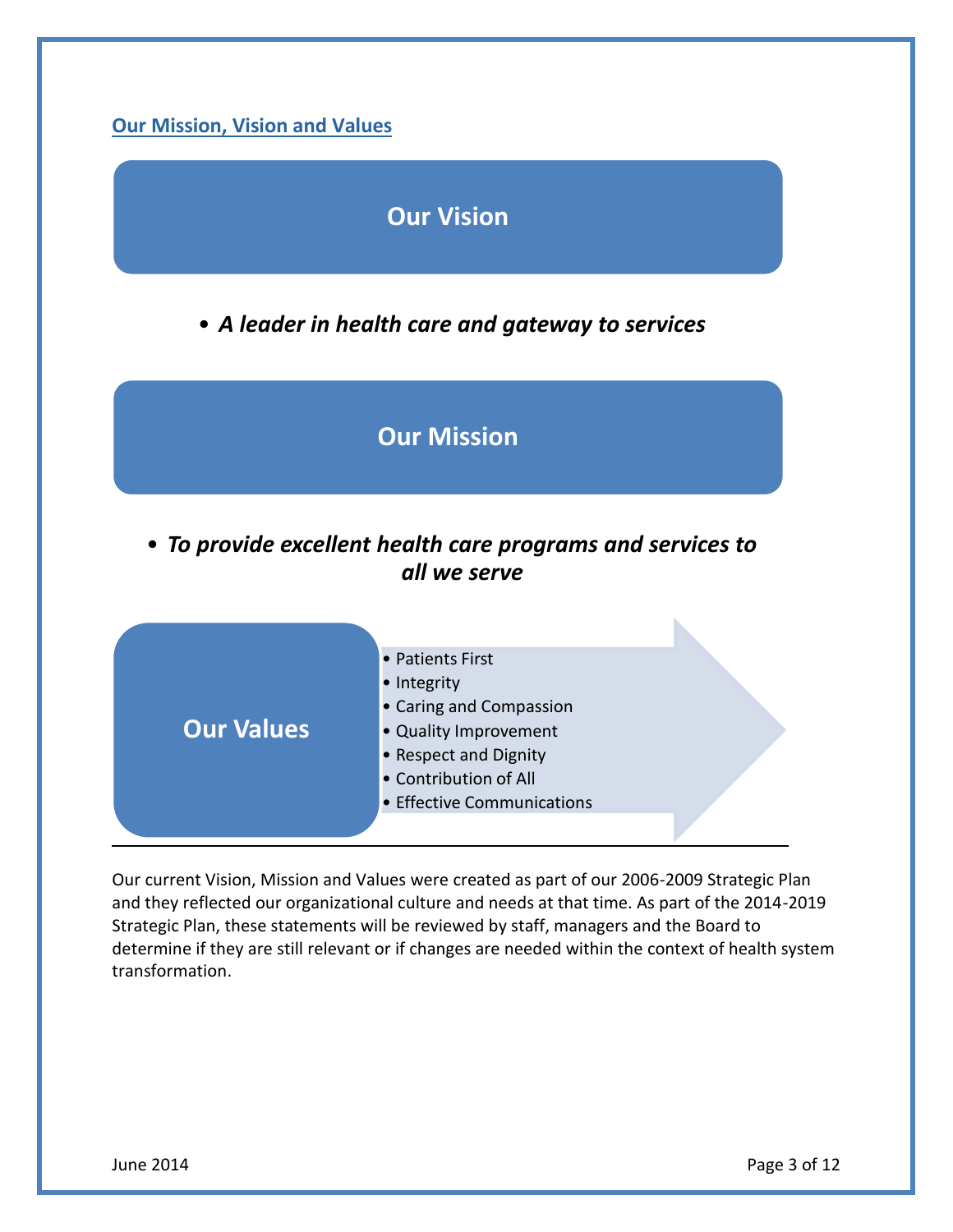

# **Our Vision**

• *A leader in health care and gateway to services*



 • *To provide excellent health care programs and services to all we serve* 



 Our current Vision, Mission and Values were created as part of our 2006-2009 Strategic Plan and they reflected our organizational culture and needs at that time. As part of the 2014-2019 Strategic Plan, these statements will be reviewed by staff, managers and the Board to determine if they are still relevant or if changes are needed within the context of health system transformation.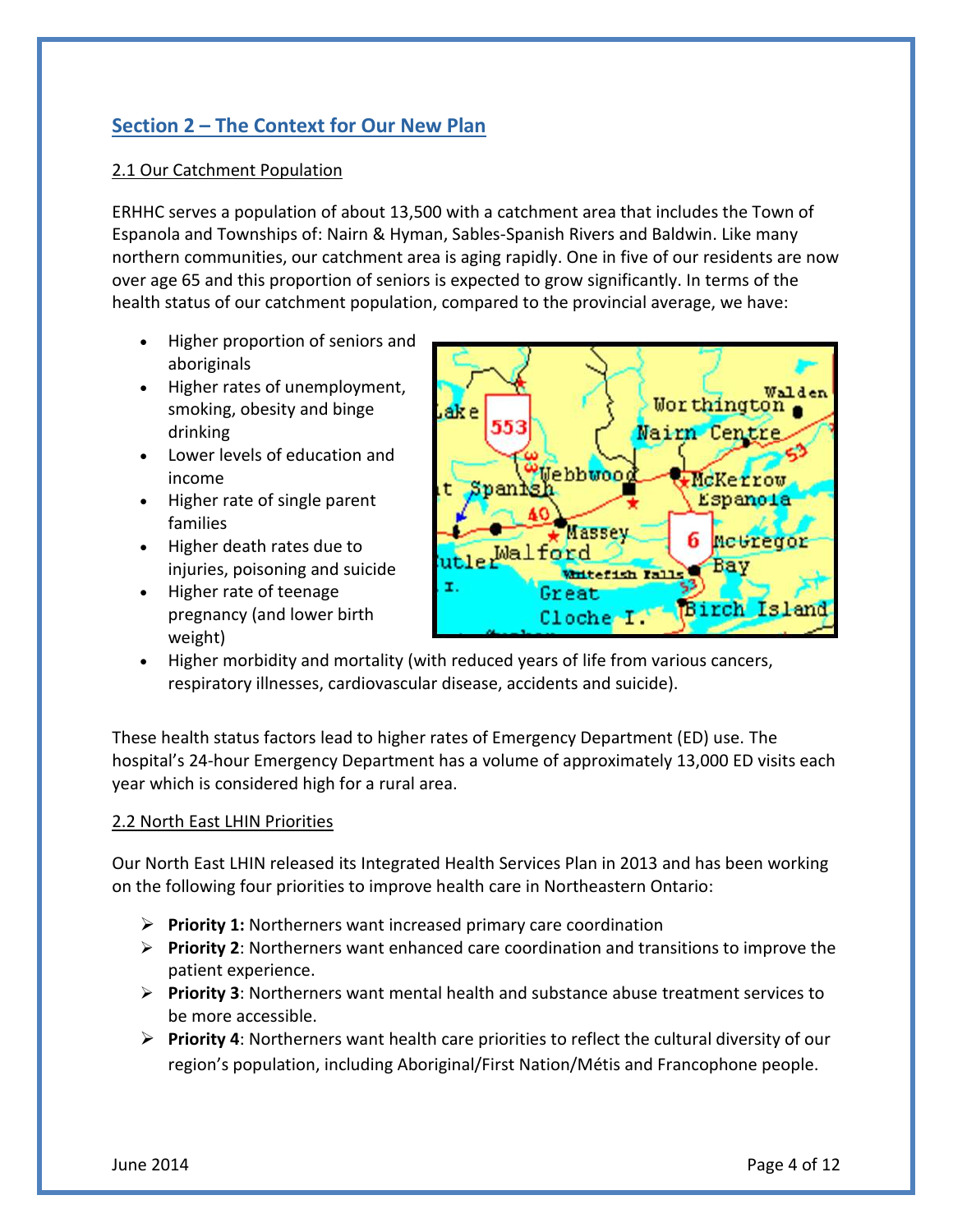# **Section 2 – The Context for Our New Plan**

#### 2.1 Our Catchment Population

 ERHHC serves a population of about 13,500 with a catchment area that includes the Town of Espanola and Townships of: Nairn & Hyman, Sables-Spanish Rivers and Baldwin. Like many northern communities, our catchment area is aging rapidly. One in five of our residents are now over age 65 and this proportion of seniors is expected to grow significantly. In terms of the health status of our catchment population, compared to the provincial average, we have:

- Higher proportion of seniors and aboriginals
- Higher rates of unemployment, smoking, obesity and binge drinking
- Lower levels of education and income
- Higher rate of single parent families
- Higher death rates due to injuries, poisoning and suicide
- pregnancy (and lower birth • Higher rate of teenage weight)



 Higher morbidity and mortality (with reduced years of life from various cancers, respiratory illnesses, cardiovascular disease, accidents and suicide).

 These health status factors lead to higher rates of Emergency Department (ED) use. The hospital's 24-hour Emergency Department has a volume of approximately 13,000 ED visits each year which is considered high for a rural area.

#### 2.2 North East LHIN Priorities

 Our North East LHIN released its Integrated Health Services Plan in 2013 and has been working on the following four priorities to improve health care in Northeastern Ontario:

- **Priority 1:** Northerners want increased primary care coordination
- **Priority 2**: Northerners want enhanced care coordination and transitions to improve the patient experience.
- **Priority 3**: Northerners want mental health and substance abuse treatment services to be more accessible.
- **Priority 4**: Northerners want health care priorities to reflect the cultural diversity of our region's population, including Aboriginal/First Nation/Métis and Francophone people.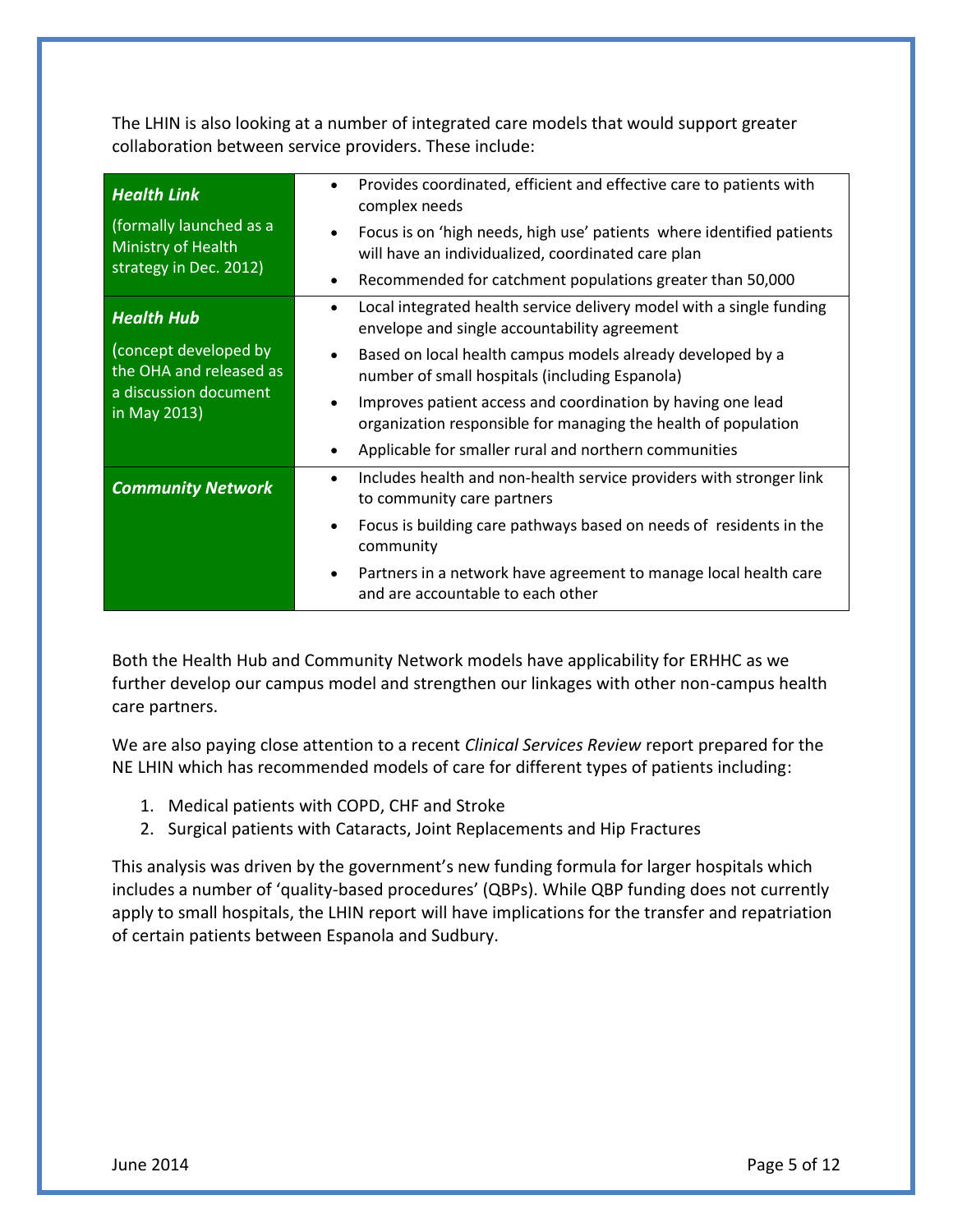The LHIN is also looking at a number of integrated care models that would support greater collaboration between service providers. These include:

| <b>Health Link</b><br>(formally launched as a<br>Ministry of Health<br>strategy in Dec. 2012)                  | Provides coordinated, efficient and effective care to patients with<br>$\bullet$<br>complex needs<br>Focus is on 'high needs, high use' patients where identified patients<br>$\bullet$<br>will have an individualized, coordinated care plan |
|----------------------------------------------------------------------------------------------------------------|-----------------------------------------------------------------------------------------------------------------------------------------------------------------------------------------------------------------------------------------------|
|                                                                                                                | Recommended for catchment populations greater than 50,000<br>$\bullet$                                                                                                                                                                        |
| <b>Health Hub</b><br>(concept developed by<br>the OHA and released as<br>a discussion document<br>in May 2013) | Local integrated health service delivery model with a single funding<br>$\bullet$<br>envelope and single accountability agreement                                                                                                             |
|                                                                                                                | Based on local health campus models already developed by a<br>number of small hospitals (including Espanola)                                                                                                                                  |
|                                                                                                                | Improves patient access and coordination by having one lead<br>$\bullet$<br>organization responsible for managing the health of population                                                                                                    |
|                                                                                                                | Applicable for smaller rural and northern communities<br>$\bullet$                                                                                                                                                                            |
| <b>Community Network</b>                                                                                       | Includes health and non-health service providers with stronger link<br>$\bullet$<br>to community care partners                                                                                                                                |
|                                                                                                                | Focus is building care pathways based on needs of residents in the<br>community                                                                                                                                                               |
|                                                                                                                | Partners in a network have agreement to manage local health care<br>$\bullet$<br>and are accountable to each other                                                                                                                            |

 Both the Health Hub and Community Network models have applicability for ERHHC as we further develop our campus model and strengthen our linkages with other non-campus health care partners.

 We are also paying close attention to a recent *Clinical Services Review* report prepared for the NE LHIN which has recommended models of care for different types of patients including:

- 1. Medical patients with COPD, CHF and Stroke
- 2. Surgical patients with Cataracts, Joint Replacements and Hip Fractures

 This analysis was driven by the government's new funding formula for larger hospitals which includes a number of 'quality-based procedures' (QBPs). While QBP funding does not currently apply to small hospitals, the LHIN report will have implications for the transfer and repatriation of certain patients between Espanola and Sudbury.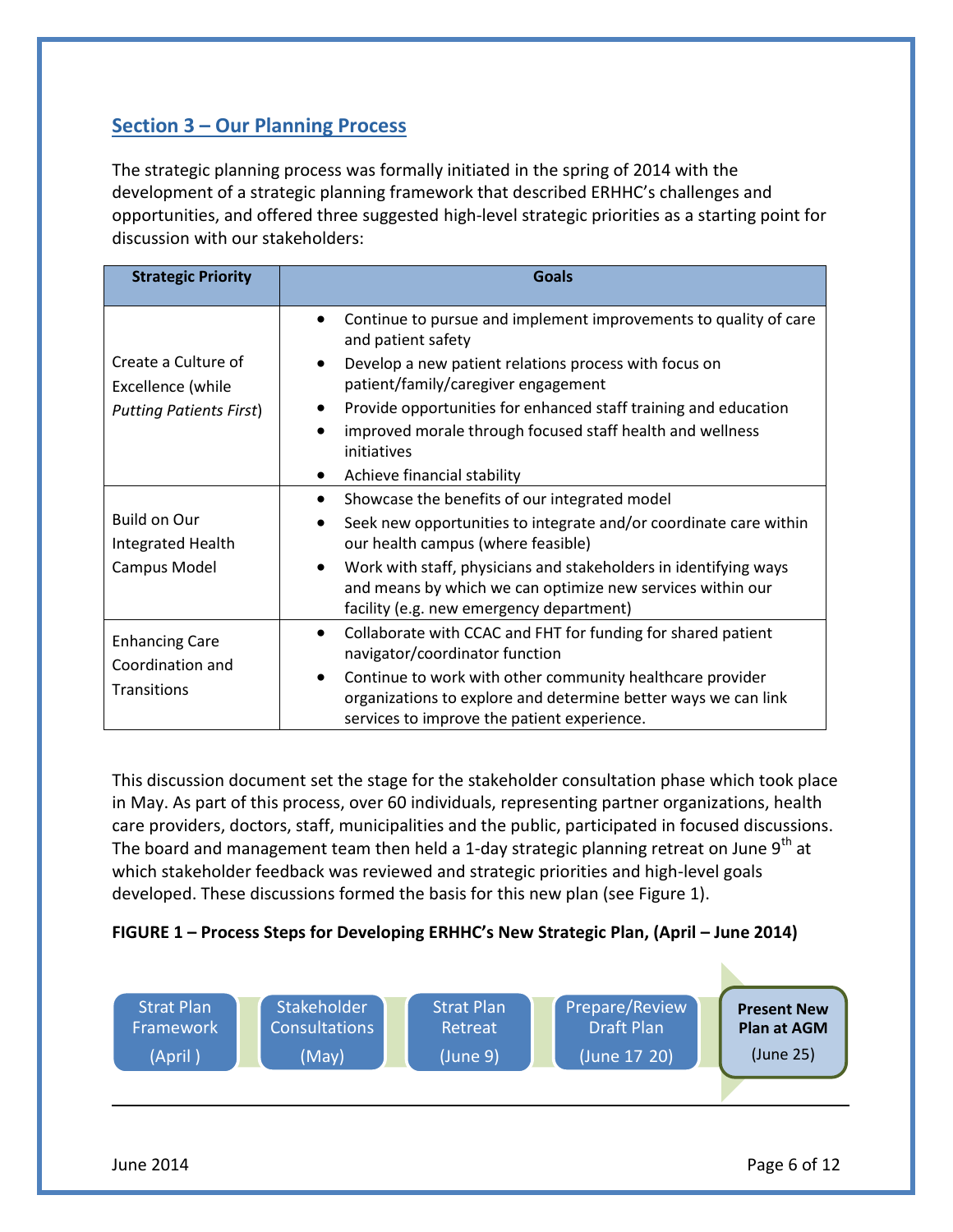# **Section 3 – Our Planning Process**

The strategic planning process was formally initiated in the spring of 2014 with the development of a strategic planning framework that described ERHHC's challenges and opportunities, and offered three suggested high-level strategic priorities as a starting point for discussion with our stakeholders:

| <b>Strategic Priority</b>                                                  | <b>Goals</b>                                                                                                                                                                                                                                                                                                                                                                                                |
|----------------------------------------------------------------------------|-------------------------------------------------------------------------------------------------------------------------------------------------------------------------------------------------------------------------------------------------------------------------------------------------------------------------------------------------------------------------------------------------------------|
| Create a Culture of<br>Excellence (while<br><b>Putting Patients First)</b> | Continue to pursue and implement improvements to quality of care<br>and patient safety<br>Develop a new patient relations process with focus on<br>$\bullet$<br>patient/family/caregiver engagement<br>Provide opportunities for enhanced staff training and education<br>improved morale through focused staff health and wellness<br>$\bullet$<br>initiatives<br>Achieve financial stability<br>$\bullet$ |
| <b>Build on Our</b><br>Integrated Health<br>Campus Model                   | Showcase the benefits of our integrated model<br>$\bullet$<br>Seek new opportunities to integrate and/or coordinate care within<br>$\bullet$<br>our health campus (where feasible)<br>Work with staff, physicians and stakeholders in identifying ways<br>$\bullet$<br>and means by which we can optimize new services within our<br>facility (e.g. new emergency department)                               |
| <b>Enhancing Care</b><br>Coordination and<br><b>Transitions</b>            | Collaborate with CCAC and FHT for funding for shared patient<br>$\bullet$<br>navigator/coordinator function<br>Continue to work with other community healthcare provider<br>$\bullet$<br>organizations to explore and determine better ways we can link<br>services to improve the patient experience.                                                                                                      |

 This discussion document set the stage for the stakeholder consultation phase which took place in May. As part of this process, over 60 individuals, representing partner organizations, health care providers, doctors, staff, municipalities and the public, participated in focused discussions. The board and management team then held a 1-day strategic planning retreat on June 9<sup>th</sup> at which stakeholder feedback was reviewed and strategic priorities and high-level goals developed. These discussions formed the basis for this new plan (see Figure 1).

#### **FIGURE 1 – Process Steps for Developing ERHHC's New Strategic Plan, (April – June 2014)**

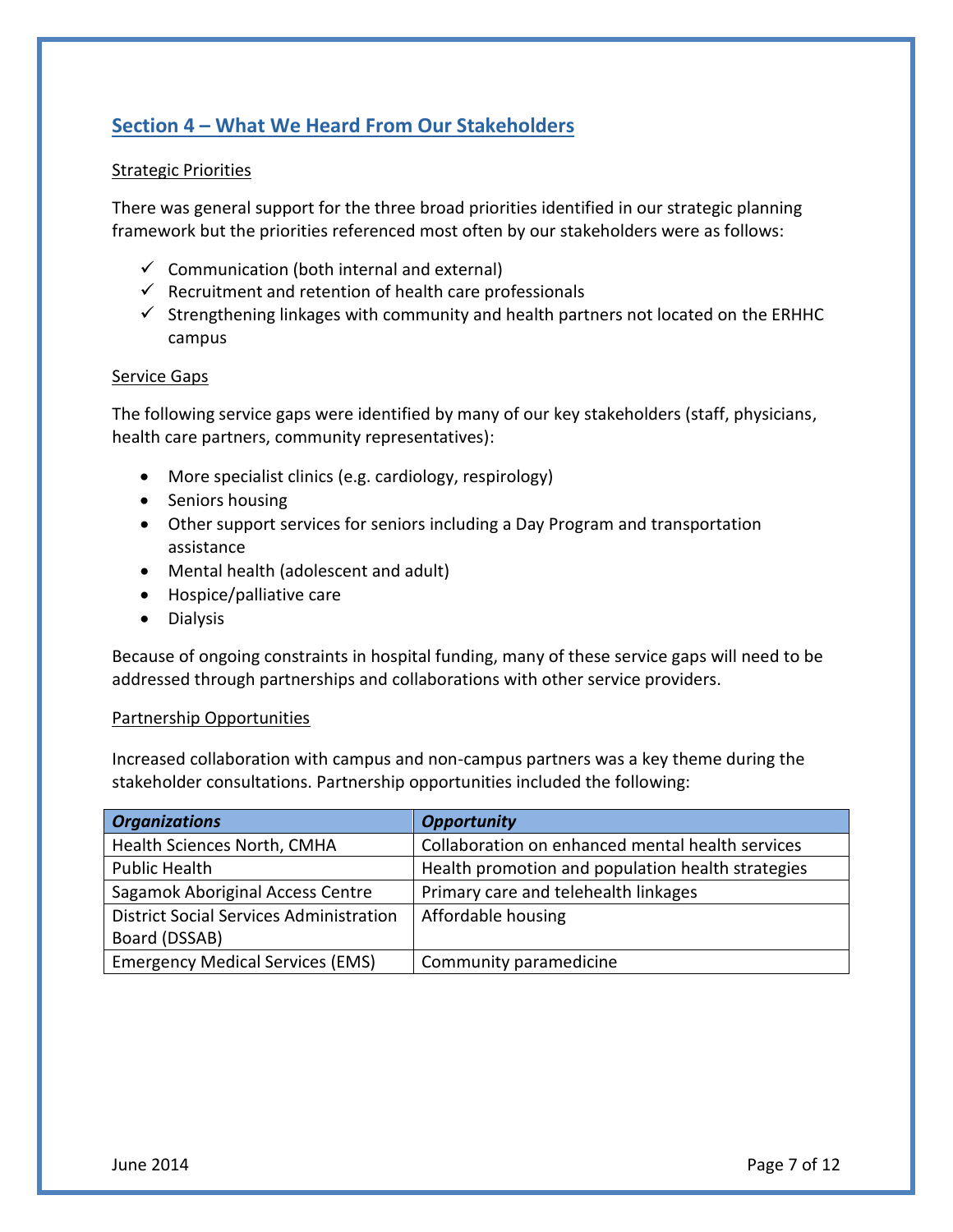# **Section 4 – What We Heard From Our Stakeholders**

#### Strategic Priorities

 There was general support for the three broad priorities identified in our strategic planning framework but the priorities referenced most often by our stakeholders were as follows:

- $\checkmark$  Communication (both internal and external)
- $\checkmark$  Recruitment and retention of health care professionals
- $\checkmark$  Strengthening linkages with community and health partners not located on the ERHHC campus

#### Service Gaps

 The following service gaps were identified by many of our key stakeholders (staff, physicians, health care partners, community representatives):

- More specialist clinics (e.g. cardiology, respirology)
- **•** Seniors housing
- Other support services for seniors including a Day Program and transportation assistance
- Mental health (adolescent and adult)
- Hospice/palliative care
- **•** Dialysis

 Because of ongoing constraints in hospital funding, many of these service gaps will need to be addressed through partnerships and collaborations with other service providers.

#### Partnership Opportunities

 Increased collaboration with campus and non-campus partners was a key theme during the stakeholder consultations. Partnership opportunities included the following:

| <b>Organizations</b>                           | <b>Opportunity</b>                                |
|------------------------------------------------|---------------------------------------------------|
| Health Sciences North, CMHA                    | Collaboration on enhanced mental health services  |
| Public Health                                  | Health promotion and population health strategies |
| Sagamok Aboriginal Access Centre               | Primary care and telehealth linkages              |
| <b>District Social Services Administration</b> | Affordable housing                                |
| Board (DSSAB)                                  |                                                   |
| <b>Emergency Medical Services (EMS)</b>        | Community paramedicine                            |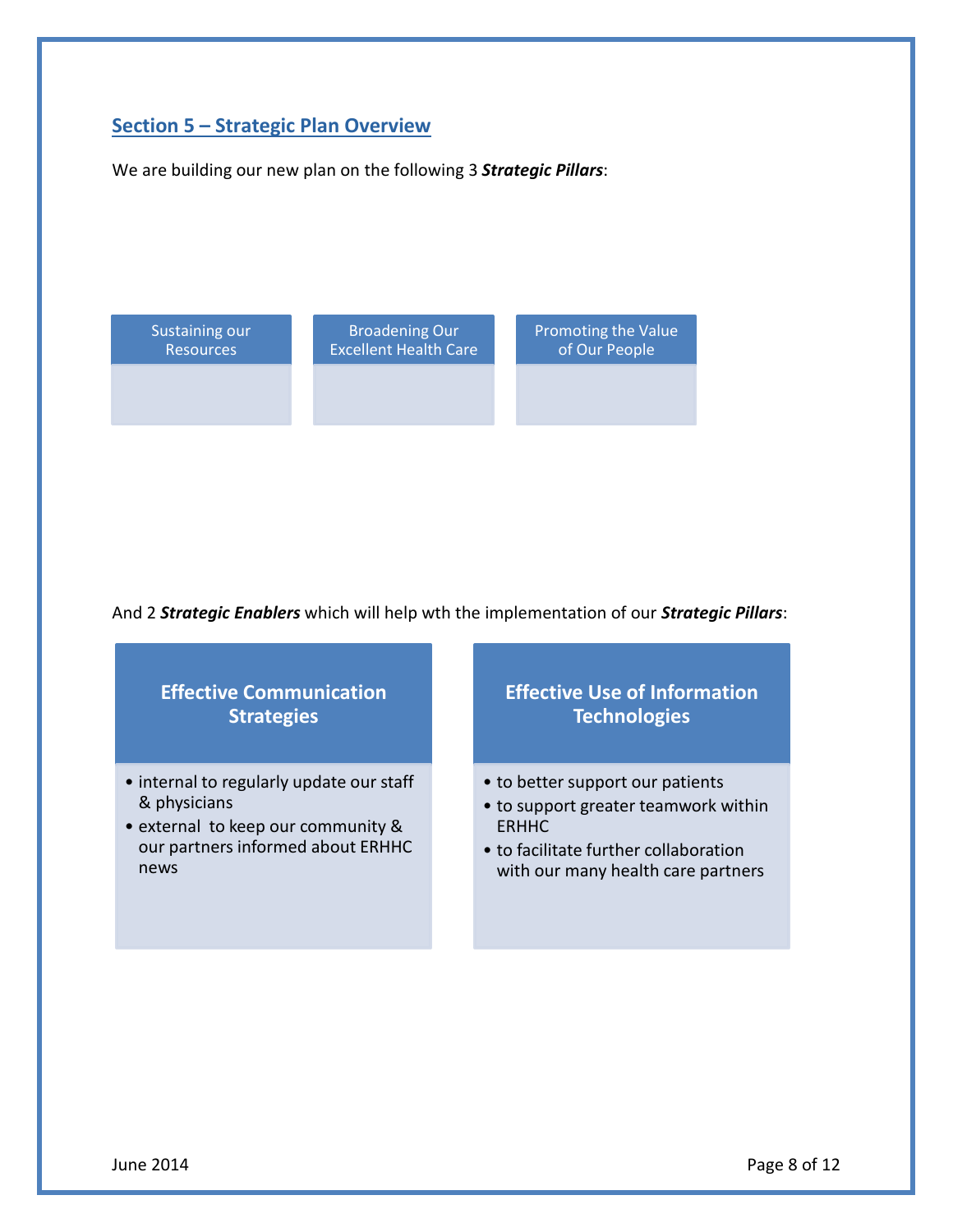# **Section 5 – Strategic Plan Overview**

We are building our new plan on the following 3 *Strategic Pillars*:



And 2 *Strategic Enablers* which will help wth the implementation of our *Strategic Pillars*:



June 2014 **Page 8 of 12**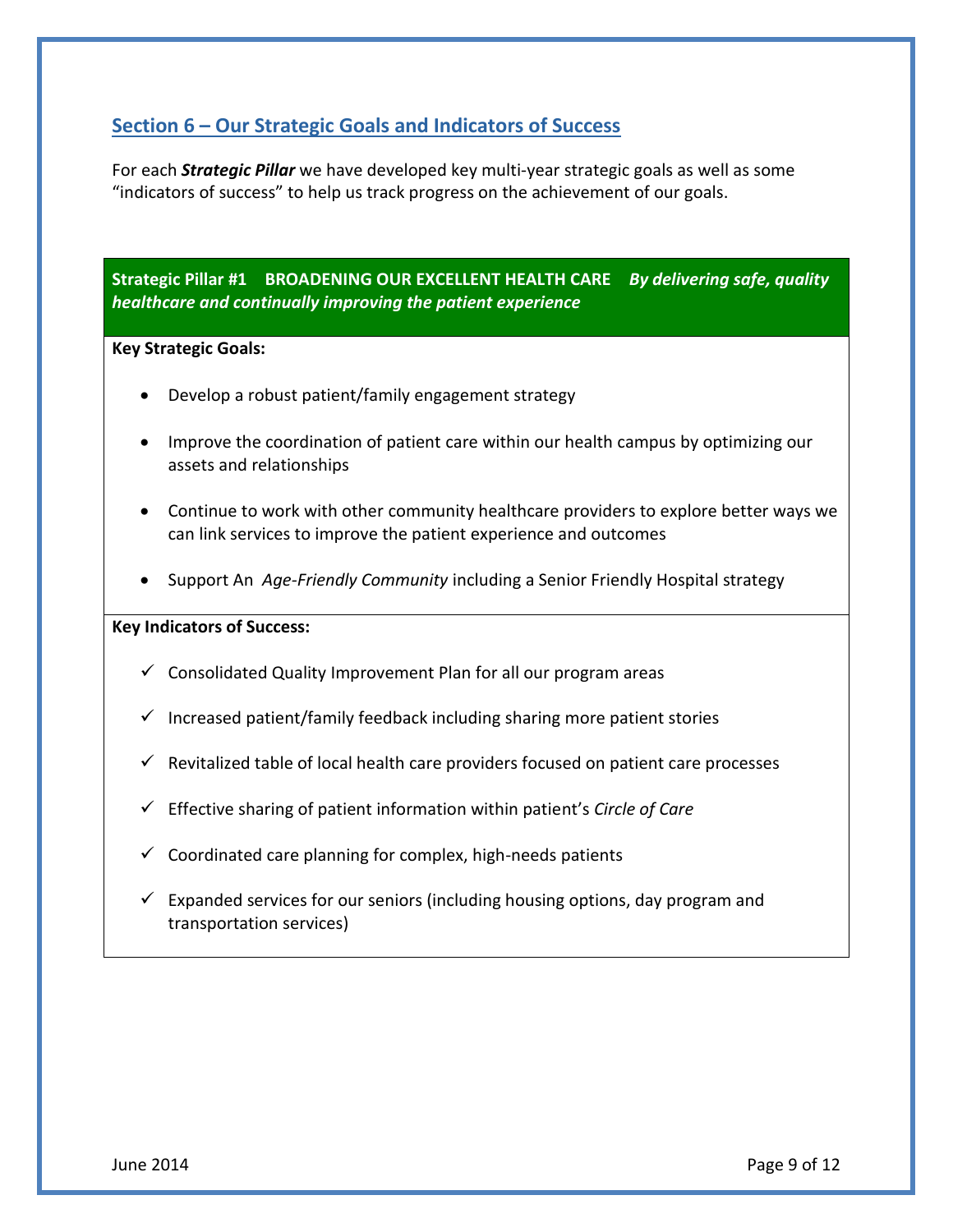## **Section 6 – Our Strategic Goals and Indicators of Success**

For each *Strategic Pillar* we have developed key multi-year strategic goals as well as some "indicators of success" to help us track progress on the achievement of our goals/

**Strategic Pillar #1 – BROADENING OUR EXCELLENT HEALTH CARE –** *By delivering safe, quality healthcare and continually improving the patient experience* 

#### **Key Strategic Goals:**

- Develop a robust patient/family engagement strategy
- Improve the coordination of patient care within our health campus by optimizing our assets and relationships
- Continue to work with other community healthcare providers to explore better ways we can link services to improve the patient experience and outcomes
- Support An *Age-Friendly Community* including a Senior Friendly Hospital strategy

#### **Key Indicators of Success:**

- $\checkmark$  Consolidated Quality Improvement Plan for all our program areas
- $\checkmark$  Increased patient/family feedback including sharing more patient stories
- $\checkmark$  Revitalized table of local health care providers focused on patient care processes
- Effective sharing of patient information within patient's *Circle of Care*
- $\checkmark$  Coordinated care planning for complex, high-needs patients
- $\checkmark$  Expanded services for our seniors (including housing options, day program and transportation services)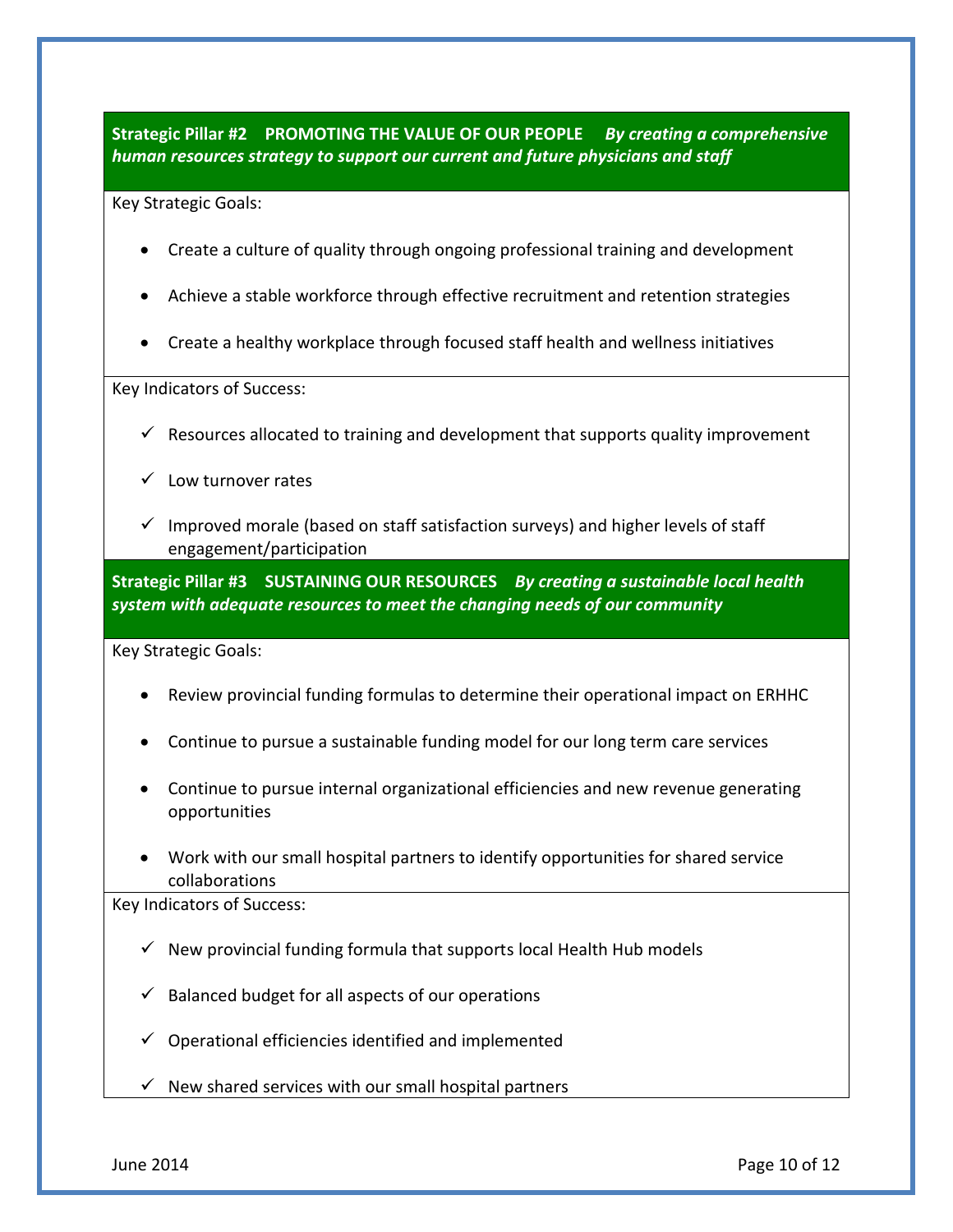#### *human resources strategy to support our current and future physicians and staff*  **Strategic Pillar #2 – PROMOTING THE VALUE OF OUR PEOPLE –** *By creating a comprehensive*

Key Strategic Goals:

- Create a culture of quality through ongoing professional training and development
- Achieve a stable workforce through effective recruitment and retention strategies
- Create a healthy workplace through focused staff health and wellness initiatives

Key Indicators of Success:

- $\checkmark$  Resources allocated to training and development that supports quality improvement
- $\checkmark$  Low turnover rates
- $\checkmark$  Improved morale (based on staff satisfaction surveys) and higher levels of staff engagement/participation

 **Strategic Pillar #3 – SUSTAINING OUR RESOURCES –** *By creating a sustainable local health system with adequate resources to meet the changing needs of our community* 

Key Strategic Goals:

- $\bullet$ Review provincial funding formulas to determine their operational impact on ERHHC
- Continue to pursue a sustainable funding model for our long term care services
- Continue to pursue internal organizational efficiencies and new revenue generating opportunities
- Work with our small hospital partners to identify opportunities for shared service collaborations

Key Indicators of Success:

- $\checkmark$  New provincial funding formula that supports local Health Hub models
- $\checkmark$  Balanced budget for all aspects of our operations
- $\checkmark$  Operational efficiencies identified and implemented
- $\checkmark$  New shared services with our small hospital partners

June 2014 **Page 10 of 12**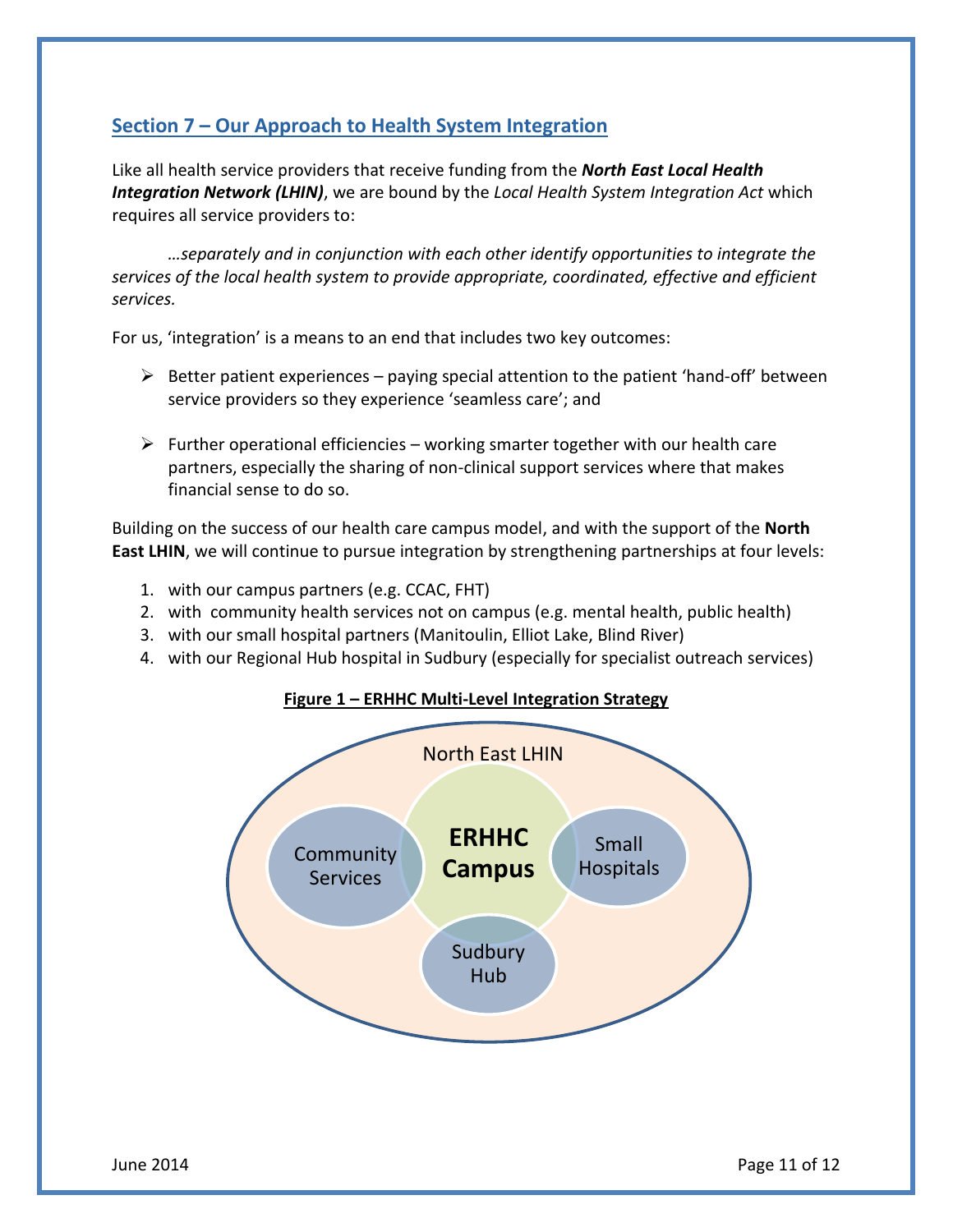# **Section 7 – Our Approach to Health System Integration**

 Like all health service providers that receive funding from the *North East Local Health Integration Network (LHIN)*, we are bound by the *Local Health System Integration Act* which requires all service providers to:

 *…separately and in conjunction with each other identify opportunities to integrate the services of the local health system to provide appropriate, coordinated, effective and efficient services.* 

For us, 'integration' is a means to an end that includes two key outcomes.

- $\triangleright$  Better patient experiences paying special attention to the patient 'hand-off' between service providers so they experience 'seamless care'; and
- $\triangleright$  Further operational efficiencies working smarter together with our health care partners, especially the sharing of non-clinical support services where that makes financial sense to do so.

 Building on the success of our health care campus model, and with the support of the **North East LHIN**, we will continue to pursue integration by strengthening partnerships at four levels:

- 1. with our campus partners (e.g. CCAC, FHT)
- 2. with community health services not on campus (e.g. mental health, public health)
- 3. with our small hospital partners (Manitoulin, Elliot Lake, Blind River)
- 4. with our Regional Hub hospital in Sudbury (especially for specialist outreach services)